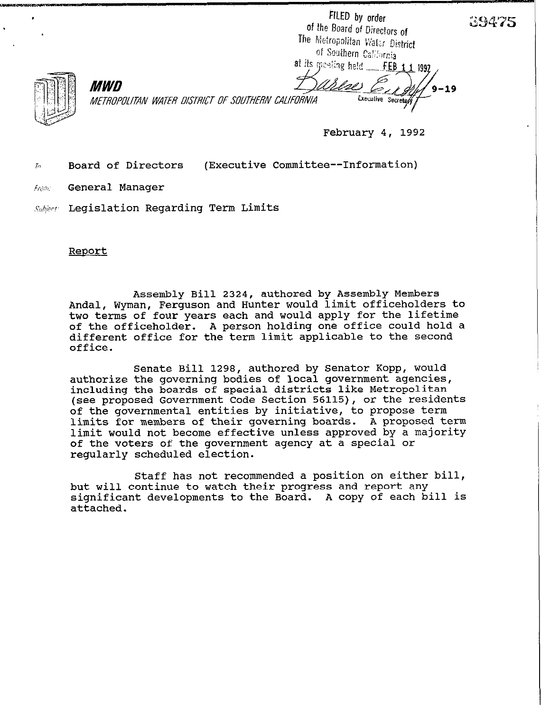FILED by order of the Board of Directors of The Metropolitan Water District of Southern California at its meeting held FEB 1 1 1997

METROPOLITAN WATER DISTRICT OF SOUTHERN CALIFORNIA

**February 4, 1992** 

Executive Secretar

**rn Board of Directors (Executive Committee--Information)** 

Francia: **General Manager** 

MWD

Subject: Legislation Regarding Term Limits

**Report** 

**Assembly Bill 2324, authored by Assembly Members Andal, Wyman, Ferguson and Hunter would limit officeholders to two terms of four years each and would apply for the lifetime of the officeholder. A person holding one office could hold a different office for the term limit applicable to the second office.** 

**Senate Bill 1298, authored by Senator Kopp, would authorize the governing bodies of local government agencies, including the boards of special districts like Metropolitan (see proposed Government Code Section 56115), or the residents of the governmental entities by initiative, to propose term limits for members of their governing boards. A proposed term limit would not become effective unless approved by a majority of the voters of the government agency at a special or regularly scheduled election.** 

**Staff has not recommended a position on either bill, but will continue to watch their progress and report any significant developments to the Board. A copy of each bill is attached.**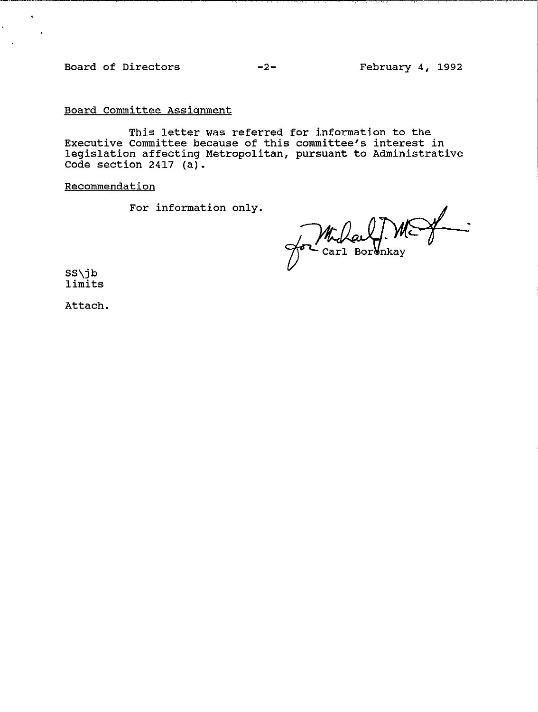Board of Directors -2- February 4, 1992

 $\hat{\mathbf{c}}$ 

 $\ddot{\phantom{0}}$ 

Board Committee Assianment

This letter was referred for information to the Executive Committee because of this committee's interest in legislation affecting Metropolitan, pursuant to Administrative Code section 2417 (a).

Recommendation

For information only.

. Millauf. M

SS\jb limits

Attach.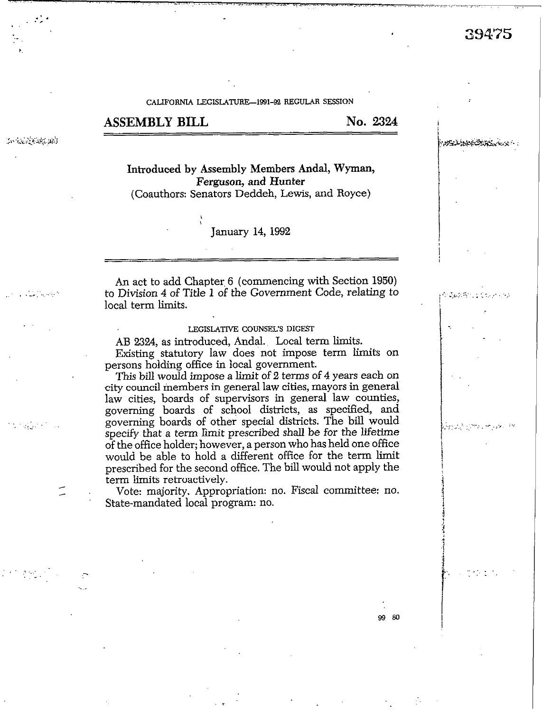# 39475

الأثناء والأركاب

化多氨酸中心

CALIFORNIA LEGISLATURE-1991-92 REGULAR SESSION

## ASSEMBLY BILL No. 2324

计分子图块图

 $\cdot$ .

 $\omega$  .  $\sim$  . They define  $\gamma$ 

Introduced by Assembly Members Andal, Wyman, Ferguson, and Hunter (Coauthors: Senators Deddeh, Lewis, and Royce)

#### January 14, 1992

An act to add Chapter, 6 (commencing with Section 1950) to Division 4 of Title 1 of the Government Code, relating to local term limits.

#### LEGISLATIVE COUNSEL'S DIGEST

AB 2324, as introduced, Andal. Local term limits. Existing statutory law does not impose term limits on persons holding office in local government.

This bill would impose a limit of 2 terms of 4 years each on city council members in general law cities, mayors in general law cities, boards of supervisors in general law counties, governing boards of school districts, as specified, and governing boards of other special districts. The bill would specify that a term Iimit prescribed shall be for the lifetime of the office holder; however, a person who has held one office would be able to hold a different office for the term limit prescribed for the second office. The bill would not apply the term limits retroactively.

Vote: majority. Appropriation: no. Fiscal committee: no. State-mandated local program: no.

:.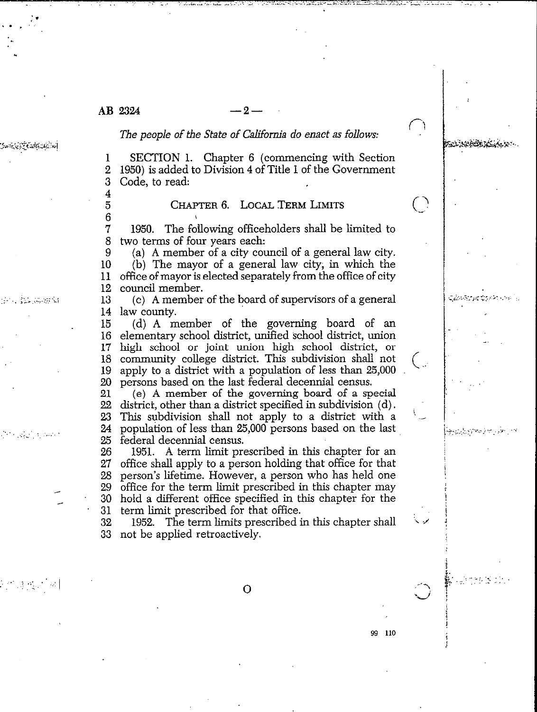## $AB \t2324$   $-2$

4 5 6

## Tiki it k

.  $\frac{1}{2}$ 

.t ,' ..; .;;, :..' *The people of the State of California do enact as follows:* 

1 2 3 SECTION 1. Chapter 6 (commencing with Section 1950) is added to Division 4 of Title 1 of the Government Code, to read:

## **CHAPTER 6.** LOCAL **TERM LIMITS**

7 8 1950. The following officeholders shall be limited to two terms of four years each:

9 10 11 12 (a) A member of a city council of a general law city. (b) The mayor of a general law city, in which the office of mayor is elected separately from the office of city council member.

. . . . . . . . . . . . . . . .  $13\,$ 14 (c) A member of the board of supervisors of a general law county.

> 15 16 17 18 19 20 (d) A member of the governing board of an elementary school district, unified school district, union high school or joint union high school district, or community college district. This subdivision shall not apply to a district with a population of less than 25,000 persons based on the last federal decennial census.

> 21 22 23 24 25 (e) A member of the governing board of a special district, other than a district specified in subdivision (d) . This subdivision shall not apply to a district with a population of less than 25,000 persons based on the last federal decennial census.

> 1951. A term limit prescribed in this chapter for an 26 office shall apply to a person holding that office for that 27 28 person's lifetime. However, a person who has held one 29 office for the term limit prescribed in this chapter may 30 hold a different office specified in this chapter for the 31 term limit prescribed for that office.

> 32 33 1952. The term limits prescribed in this chapter shall not be applied retroactively.

> > **0**

f-i

**c'i** 

**(.:** 

 $\mu$ i:.- $\lambda$  r.  $\mu$  ,  $\mu$  ,  $\mu$  ,  $\mu$  ,  $\mu$  ,  $\mu$ 

rijekan

\_.

**.\_** 

**\** J

..'.I h\_'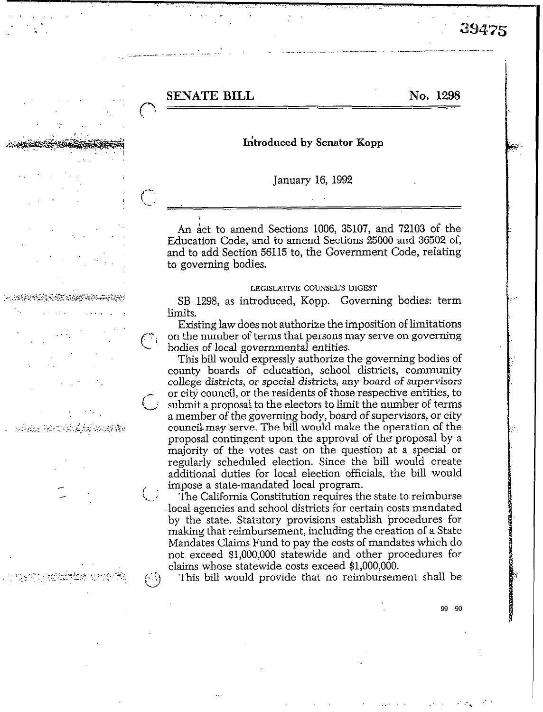**SENATE BILL** No. 1298

.\_

.:

#### Introduced by Senator Kopp

January 16, 1992

An act to amend Sections 1006, 35107, and 72103 of the Education Code, and to amend Sections 25000 and 36502 of, and to add Section 56115 to, the Government Code, relating to governing bodies.

#### LEGISLATIVE COUNSEL'S DIGEST

SB 1298, as introduced, Kopp. Governing bodies: term limits.

Existing law does not authorize the imposition of limitations on the number of terms that persons may serve on governing bodies of local governmental entities.

This bill would expressly authorize the governing bodies of county boards of education, school districts, community college districts, or special districts, any board of *supervisors*  or city council, or the residents of those respective entities, to submit a proposal to the electors to limit the number of terms a member of the governing body, board of supervisors, or city council-may 'serve. The bill would make the operation of the proposal contingent upon the approval of the proposal by a majority of the votes cast on the question at a special or regularly scheduled election. Since the bill would create additional duties for local election officials, the bill would impose a state-mandated local program.

The California Constitution requires the state to reimburse local agencies and school districts for certain costs mandated by the state. Statutory provisions establish procedures for making that reimbursement, including the creation of a State Mandates Claims Fund to pay the costs of mandates which do not exceed \$l,OOO,OOO statewide and other procedures for claims whose statewide costs exceed \$l,OOO,OOO.

This bill would provide that no reimbursement shall be

99 90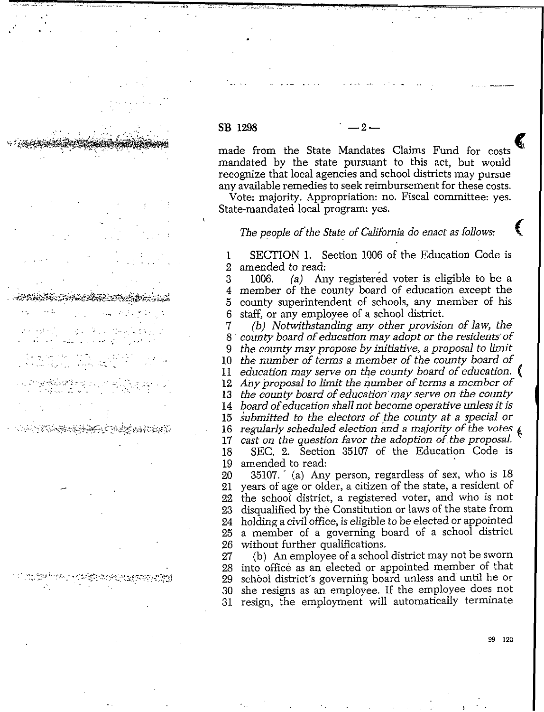#### $SB$  1298  $-2-$

والإمعة فيتولونها ووالم

,

made from the State Mandates Claims Fund for costs mandated by the state pursuant to this act, but would recognize that local agencies and school districts may pursue any available remedies to seek reimbursement for these costs.

..~ \_ .\_ ~. --.-

Vote: majority. Appropriation: no. Fiscal committee: yes. State-mandated local program: yes.

## The people of the State of California do enact as follows:

1 2 SECTION 1. Section 1006 of the Education Code is amended to read:

3 4 5 6 1006. *(a) Any* registered voter is eligible to be a member of the county board of education except the county superintendent of schools, any member of his staff, or any employee of a school district.

7 8 9 10 11 12 13 14 15 . 16 17 18 19 *(b) Notwithstanding any other provision of law, the county board of education may adopt or the residents of the county* may *propose by initiative, a proposal to limit the number of terms a member of the county board of education may serve on the county board of education. [ Any~roposal to limit the number of terms a member of the county board of education may serve on the county board of education shall not become operative unless it is submitted to the electors of the county at a special or regularly scheduled election and a majority of the votes cast on the question favor the adoption of.the proposal. <sup>c</sup>* SEC. 2. Section 35107 of the Education Code is amended to read:

20 21 22 23 24 25 26  $35107.$  (a) Any person, regardless of sex, who is  $18$ years of age or older, a citizen of the state, a resident of the school district, a registered voter, and *who* is not disqualified by the Constitution or laws of the state from holding a civil *office, is* eligible to be elected or appointed a member of a governing board of a school district without further qualifications.

27 26 29 30 31 (b) An employee of a school district may not be sworn into office as an elected or appointed member of that school district's governing board unless and'until he or she resigns as an employee. If the employee does not resign, the employment will automatically terminate

. <br> <br> :  $\label{eq:3.1} \Delta \mathbf{r} = \mathbf{r} \cdot \mathbf{r} + \mathbf{r} \cdot \mathbf{r} + \mathbf{r} \cdot \mathbf{r} + \mathbf{r} \cdot \mathbf{r} + \mathbf{r} \cdot \mathbf{r} + \mathbf{r} \cdot \mathbf{r} + \mathbf{r} \cdot \mathbf{r} + \mathbf{r} \cdot \mathbf{r} + \mathbf{r} \cdot \mathbf{r} + \mathbf{r} \cdot \mathbf{r} + \mathbf{r} \cdot \mathbf{r} + \mathbf{r} \cdot \mathbf{r} + \mathbf{r} \cdot \mathbf{r}$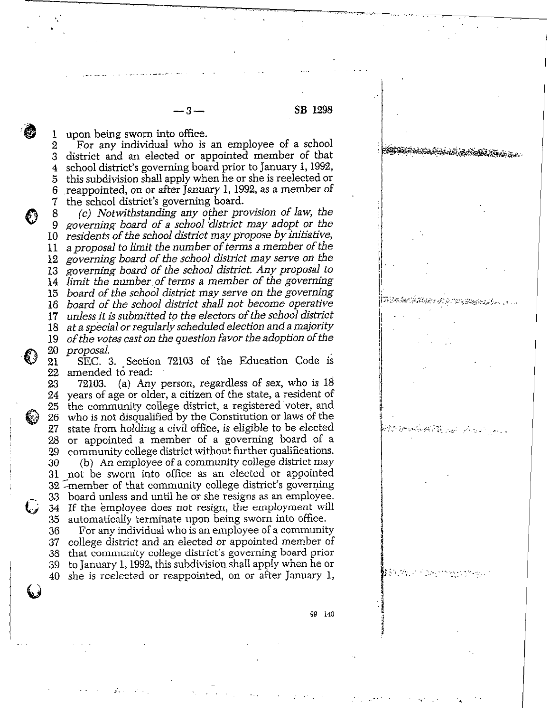1 upon being sworn into office.

2 3 4 school district's governing board prior to January 1,1992, 5 this subdivision shall apply when he or she is reelected or  $rac{7}{8}$ For any individual who is an employee of a school district and an elected or appointed member of that reappointed, on or after January 1,1992, as a member of the school district's governing board.

-3-

 $\overline{9}$ 10 11 12 13 14 *Limit the number,of terms a member of the* governing 15 *board of the school district may serve on the governing*  16 *board of the school district shall not become operative*  17 *unless it is submitted to the electors of the school o!istrict*  18 *at a special* or reguIarIy *scheduled election and* a *majority*  (c) *Notwithstanding any other provision of law, the governing board of a school klistrict may adopt or the residents of the school district* may *propose by initiative, a proposal to limit the number of terms a member of the governing board of the school district may serve on, the governing board of the school district. Any proposal to of the votes cast on the question favor the adoption of the proposal.* 

 $\bigodot^{+20}_{-21}$ 22 SEC. 3. Section 72103 of the Education Code is amended to read:

72103. (a) Any person, regardless of sex, who is 1s 23 24 years of age or older, a citizen of the state, a resident of the community college district, a registered voter, and 26 who is not disqualified by the Constitution or laws of the  $\frac{26}{27}$ state from holding a civil office, is eligible to be elected 28 or appointed a member of a governing board of a 29 community college district without further qualifications. (b) An employee of a community college district may 30 (b) An employee or a community conege ustrict may<br>31 not be sworn into office as an elected or appointed 32 -member of that community college district's governing<br>33 board unless and until he or she resigns as an employee. board unless and until he or she resigns as an employee. If the employee does not resign, the employment will 34 automatically terminate upon being sworn into office. 35

36 37 college district and an elected or appointed member of 38 that community college district's governing board prior 39 to January 1,1992, this subdivision shall apply when he or For any individual who is an employee of a community she is reelected or reappointed, on or after January 1,

l,

ŶŶŎŎĿŔĸŎĿĿĹIJĿŔŶġŦĸŶġĿŶĿŢŢĸġ

 $90 - 170$ 

 $\ddot{\phantom{0}}$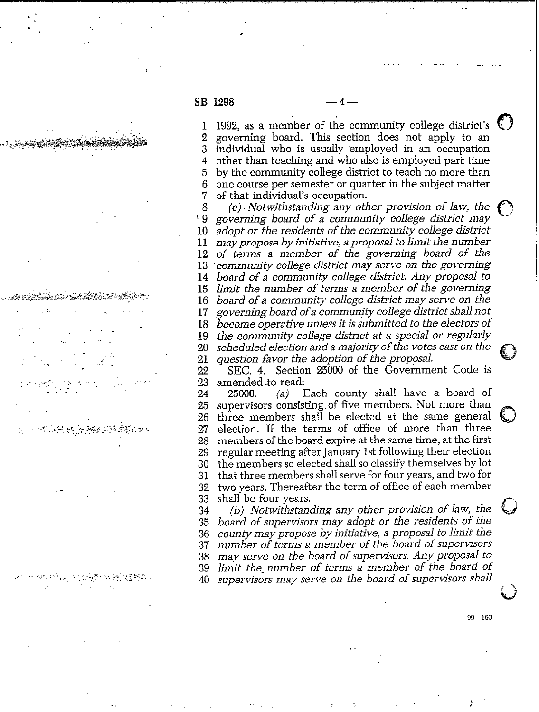**SB 1298** - 4-

. ' .

.

.

<u>شریعه جنههای اختلاف</u>

 $\mathcal{L}^{(n)}$ 

1 2 3 4 5 6 7 1992, as a member of the community college district's  $\mathbb{C}$ governing board. This section does- not apply to an individual who is usually employed in an occupation other than teaching and who also is employed part time by the *community college* district to teach no more than one course per semester or quarter in the subject matter of that individual's occupation.

8 '9 10 11 12 13 14 15 16 17 18 19 20 21 (c) *Notwithstandiug any other provision of law, the governing board of a community college district may adopt or the residents of the community college district may propose by im'n'ah've, a proposal to limit the number of terms a member of the governing board of the community college district may serve* on *the governing board of a community coUege district. Any proposal to limit the number of terms a member of the governing board of a community college district may serve on the governing boardofa community* **college** *districtshallnot become operative unless it is submitted to the electors of the commum'ty college district at a special or regularly scheduled election and a majority of the votes cast on the question favor the adoption of the proposal.* 

22 23 SEC. 4. Section 25000 of the Government Code is

24 25 26 27 28 29 30 31 32 33 amended to read:<br>25000.  $(a)$  1 Each county shall have a board of supervisors consisting of five members. Not more than three members shall be elected at the same general election. If the terms of office of more than three members of the board expire at the same time, at the first regular meeting after January 1st following their election the members so elected shall so classify themselves by lot that three members shall serve for four years, and two for two years. Thereafter the term of office of each member shall be four years.

34 35 36 37 38 39 40 *(b) Notwithstanding any other provision of law, the board of supervisors may adopt or the residents of the county may propose by initiative, a proposal to limit the number of terms a member of the board of supervisors may serve on the board of supervisors. Any proposal to limit the-number of terms a member of the board of supervisors may serve on the board of supervisors shall* 

.\_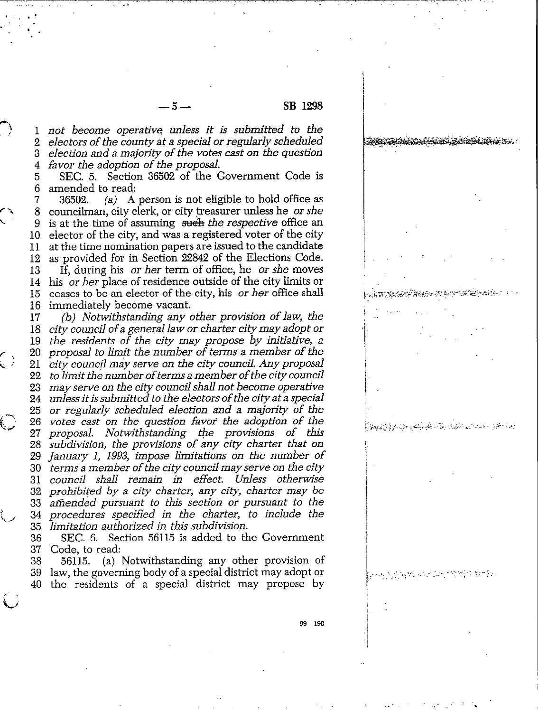#### $-5$  SB 1298

III TANAN KANAN SERIA KUALAN

لِمَعْ أَحْرَقَ الْمُؤْمَنَاتِ وَالْمُؤْمِنَ الْمُؤْمِنَةِ الْمُؤْمِنَةِ وَالْمُؤْمِنَ وَالْمُؤْمِنَ فالمؤجنة

*not become operative unless it is submitted to the electors of the county at a special or regularly scheduled election and a majority of the votes cast on the question favor the adoption of the proposal.*  1 2 3 4

 $\mathcal{L}$ 

a /

SEC. 5. Section 36502 of the Government Code is amended to read: 5 6

36502. *(a)* A person is not eligible to hold office as councilman, city clerk, or city treasurer unless he or *she*  is at the time of assuming such the *respective* office an elector of the city, and was a registered voter of the city at the time nomination papers are issued to the candidate as provided for in Section 22842 of the Elections Code. If, during his *or her* term of office, he *or she* moves his *or her* place of residence outside of the city limits or ceases to be an elector of the city, his *or her office* shall immediately become vacant. 7 8 9 10 11 12 13 14 15 16

*(b) Notwithstanding any other provision of law, the city council of a general law or charter city may adopt* or *the residents of the city may propose by initiah've, a proposal to h+t the number of terms a member of the*  20 *city council may serve on the city council.* **Any** *proposal to limit the number of terms a member of the* **city council**  *may serve on the city council shall not become operative unless it is submitted to the electors of the city at a special or regularly scheduled election and a majority of the votes cast on the question favor the adoption of the proposal. Notwithstanding the provisions of this subdivision, the provisions of any city charter that on January 1, 1993, impose limitations on the number of terms a member of the city council may serve on the city council shah remain in effect. Unless otherwise prohibited by a city charter, any city, charter may be amended pursuant to this section or pursuant to the procedures specified in the charter, to include the limitation authorized in this subdivision.*  17 18 19 21 22 23 24 25 26 27 28 29 30 31 32 33 34 35

SEC. 6. Section 56115 is added to the Government Code, to read: 36 37

56115. (a) Notwithstanding any other provision of law, the governing body of a special district may adopt or 39 the residents of a special district may propose by 38 40

> ۵q - 190